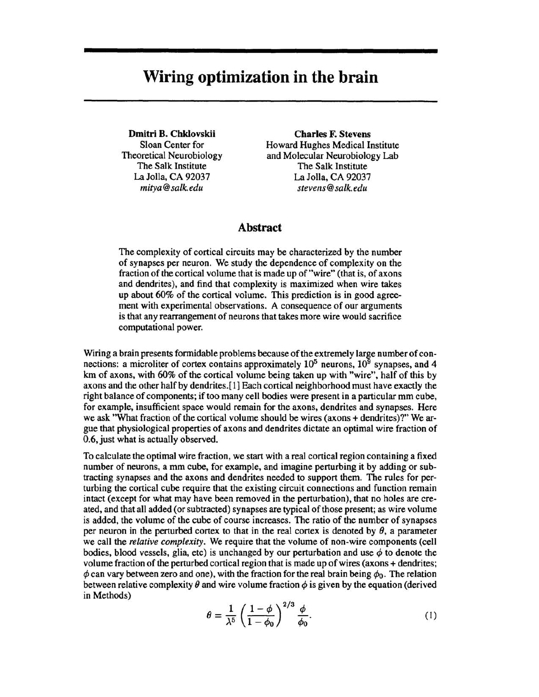# **Wiring optimization in the brain**

Dmitri B. Chklovskii Sloan Center for Theoretical Neurobiology The Salk Institute La Jolla, CA 92037 *mitya@salk.edu* 

Charles F. Stevens Howard Hughes Medical Institute and Molecular Neurobiology Lab The Salk Institute La Jolla, CA 92037 *stevens@salk.edu* 

### Abstract

The complexity of cortical circuits may be characterized by the number of synapses per neuron. We study the dependence of complexity on the fraction of the cortical volume that is made up of "wire" (that is, of axons and dendrites), and find that complexity is maximized when wire takes up about 60% of the cortical volume. This prediction is in good agreement with experimental observations. A consequence of our arguments is that any rearrangement of neurons that takes more wire would sacrifice computational power.

Wiring a brain presents formidable problems because of the extremely large number of connections: a microliter of cortex contains approximately  $10^5$  neurons,  $10^9$  synapses, and 4 km of axons, with 60% of the cortical volume being taken up with "wire", half of this by axons and the other half by dendrites. [ 1] Each cortical neighborhood must have exactly the right balance of components; if too many cell bodies were present in a particular mm cube, for example, insufficient space would remain for the axons, dendrites and synapses. Here we ask "What fraction of the cortical volume should be wires (axons + dendrites)?" We argue that physiological properties of axons and dendrites dictate an optimal wire fraction of 0.6, just what is actually observed.

To calculate the optimal wire fraction, we start with a real cortical region containing a fixed number of neurons, a mm cube, for example, and imagine perturbing it by adding or subtracting synapses and the axons and dendrites needed to support them. The rules for perturbing the cortical cube require that the existing circuit connections and function remain intact (except for what may have been removed in the perturbation), that no holes are created, and that all added (or subtracted) synapses are typical of those present; as wire volume is added, the volume of the cube of course increases. The ratio of the number of synapses per neuron in the perturbed cortex to that in the real cortex is denoted by  $\theta$ , a parameter we call the *relative complexity.* We require that the volume of non-wire components (cell bodies, blood vessels, glia, etc) is unchanged by our perturbation and use  $\phi$  to denote the volume fraction of the perturbed cortical region that is made up of wires (axons + dendrites;  $\phi$  can vary between zero and one), with the fraction for the real brain being  $\phi_0$ . The relation between relative complexity  $\theta$  and wire volume fraction  $\phi$  is given by the equation (derived in Methods)

$$
\theta = \frac{1}{\lambda^5} \left( \frac{1 - \phi}{1 - \phi_0} \right)^{2/3} \frac{\phi}{\phi_0}.
$$
 (1)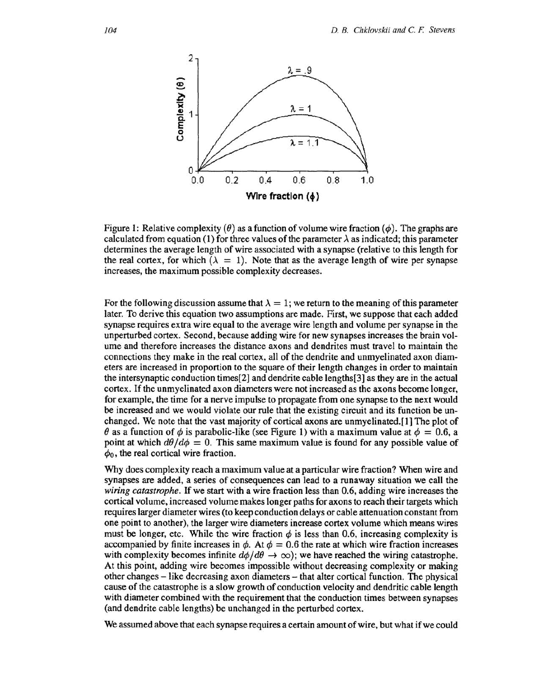

Figure 1: Relative complexity  $(\theta)$  as a function of volume wire fraction  $(\phi)$ . The graphs are calculated from equation (1) for three values of the parameter  $\lambda$  as indicated; this parameter determines the average length of wire associated with a synapse (relative to this length for the real cortex, for which  $(\lambda = 1)$ . Note that as the average length of wire per synapse increases, the maximum possible complexity decreases.

For the following discussion assume that  $\lambda = 1$ ; we return to the meaning of this parameter later. To derive this equation two assumptions are made. First, we suppose that each added synapse requires extra wire equal to the average wire length and volume per synapse in the unperturbed cortex. Second, because adding wire for new synapses increases the brain volume and therefore increases the distance axons and dendrites must travel to maintain the connections they make in the real cortex, all of the dendrite and unmyelinated axon diameters are increased in proportion to the square of their length changes in order to maintain the intersynaptic conduction times[2] and dendrite cable lengths[3] as they are in the actual cortex. If the unmyelinated axon diameters were not increased as the axons become longer, for example, the time for a nerve impulse to propagate from one synapse to the next would be increased and we would violate our rule that the existing circuit and its function be unchanged. We note that the vast majority of cortical axons are unmyelinated.[l] The plot of  $\theta$  as a function of  $\phi$  is parabolic-like (see Figure 1) with a maximum value at  $\phi = 0.6$ , a point at which  $d\theta/d\phi=0$ . This same maximum value is found for any possible value of  $\phi_0$ , the real cortical wire fraction.

Why does complexity reach a maximum value at a particular wire fraction? When wire and synapses are added, a series of consequences can lead to a runaway situation we call the *wiring catastrophe.* If we start with a wire fraction less than 0.6, adding wire increases the cortical volume, increased volume makes longer paths for axons to reach their targets which requires larger diameter wires (to keep conduction delays or cable attenuation constant from one point to another), the larger wire diameters increase cortex volume which means wires must be longer, etc. While the wire fraction  $\phi$  is less than 0.6, increasing complexity is accompanied by finite increases in  $\phi$ . At  $\phi = 0.6$  the rate at which wire fraction increases with complexity becomes infinite  $d\phi/d\theta \to \infty$ ; we have reached the wiring catastrophe. At this point, adding wire becomes impossible without decreasing complexity or making other changes - like decreasing axon diameters - that alter cortical function. The physical cause of the catastrophe is a slow growth of conduction velocity and dendritic cable length with diameter combined with the requirement that the conduction times between synapses (and dendrite cable lengths) be unchanged in the perturbed cortex.

We assumed above that each synapse requires a certain amount of wire, but what if we could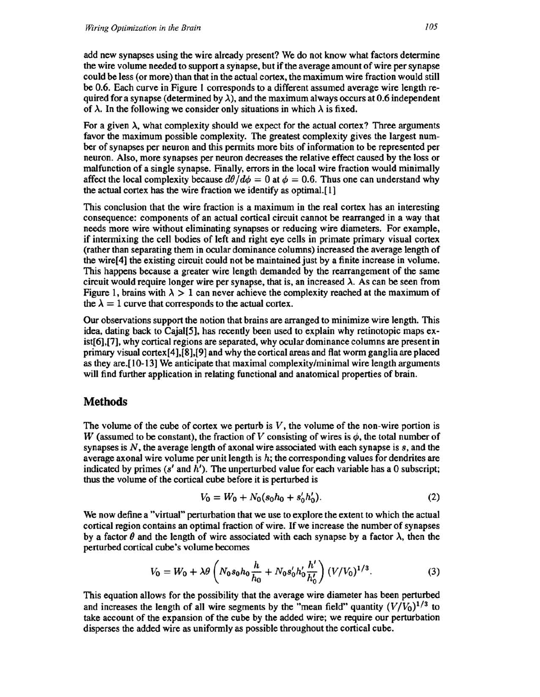add new synapses using the wire already present? We do not know what factors determine the wire volume needed to support a synapse, but if the average amount of wire per synapse could be less (or more) than that in the actual cortex, the maximum wire fraction would still be 0.6. Each curve in Figure 1 corresponds to a different assumed average wire length required for a synapse (determined by  $\lambda$ ), and the maximum always occurs at 0.6 independent of  $\lambda$ . In the following we consider only situations in which  $\lambda$  is fixed.

For a given  $\lambda$ , what complexity should we expect for the actual cortex? Three arguments favor the maximum possible complexity. The greatest complexity gives the largest number of synapses per neuron and this permits more bits of information to be represented per neuron. Also, more synapses per neuron decreases the relative effect caused by the loss or malfunction of a single synapse. Finally, errors in the local wire fraction would minimally affect the local complexity because  $d\theta/d\phi = 0$  at  $\phi = 0.6$ . Thus one can understand why the actual cortex has the wire fraction we identify as optimal. [ 1]

This conclusion that the wire fraction is a maximum in the real cortex has an interesting consequence: components of an actual cortical circuit cannot be rearranged in a way that needs more wire without eliminating synapses or reducing wire diameters. For example, if intermixing the cell bodies of left and right eye cells in primate primary visual cortex (rather than separating them in ocular dominance columns) increased the average length of the wire[4] the existing circuit could not be maintained just by a finite increase in volume. This happens because a greater wire length demanded by the rearrangement of the same circuit would require longer wire per synapse, that is, an increased  $\lambda$ . As can be seen from Figure 1, brains with  $\lambda > 1$  can never achieve the complexity reached at the maximum of the  $\lambda = 1$  curve that corresponds to the actual cortex.

Our observations support the notion that brains are arranged to minimize wire length. This idea, dating back to Cajal[5], has recently been used to explain why retinotopic maps exist[6],[7], why cortical regions are separated, why ocular dominance columns are present in primary visual cortex[4],[8],[9] and why the cortical areas and flat worm ganglia are placed as they are. [ 10-13] We anticipate that maximal complexity/minimal wire length arguments will find further application in relating functional and anatomical properties of brain.

## **Methods**

The volume of the cube of cortex we perturb is  $V$ , the volume of the non-wire portion is *W* (assumed to be constant), the fraction of *V* consisting of wires is  $\phi$ , the total number of synapses is N, the average length of axonal wire associated with each synapse is *s,* and the average axonal wire volume per unit length is  $h$ ; the corresponding values for dendrites are indicated by primes (s' and *h').* The unperturbed value for each variable has a 0 subscript; thus the volume of the cortical cube before it is perturbed is

$$
V_0 = W_0 + N_0(s_0h_0 + s'_0h'_0). \tag{2}
$$

We now define a "virtual" perturbation that we use to explore the extent to which the actual cortical region contains an optimal fraction of wire. If we increase the number of synapses by a factor  $\theta$  and the length of wire associated with each synapse by a factor  $\lambda$ , then the perturbed cortical cube's volume becomes

$$
V_0 = W_0 + \lambda \theta \left( N_0 s_0 h_0 \frac{h}{h_0} + N_0 s'_0 h'_0 \frac{h'}{h'_0} \right) (V/V_0)^{1/3}.
$$
 (3)

This equation allows for the possibility that the average wire diameter has been perturbed and increases the length of all wire segments by the "mean field" quantity  $(V/V_0)^{1/3}$  to take account of the expansion of the cube by the added wire; we require our perturbation disperses the added wire as uniformly as possible throughout the cortical cube.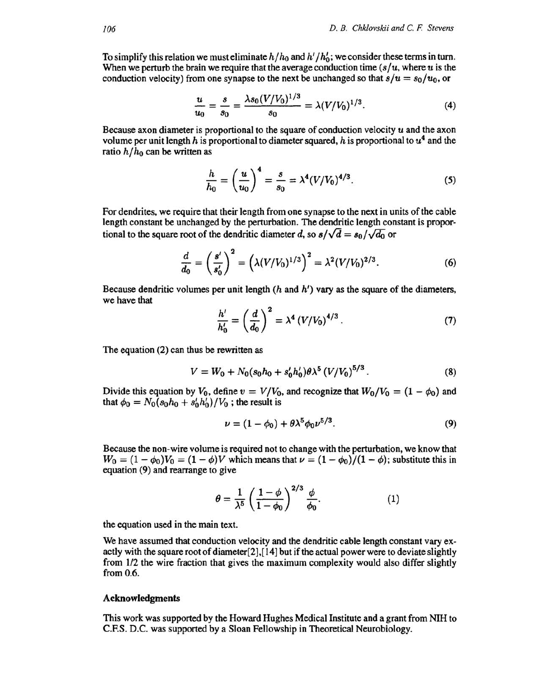To simplify this relation we must eliminate  $h/h_0$  and  $h'/h'_0$ ; we consider these terms in turn. When we perturb the brain we require that the average conduction time  $(s/u,$  where  $u$  is the conduction velocity) from one synapse to the next be unchanged so that  $s/u = s_0/u_0$ , or

$$
\frac{u}{u_0} = \frac{s}{s_0} = \frac{\lambda s_0 (V/V_0)^{1/3}}{s_0} = \lambda (V/V_0)^{1/3}.
$$
 (4)

Because axon diameter is proportional to the square of conduction velocity  $u$  and the axon volume per unit length h is proportional to diameter squared, h is proportional to  $u<sup>4</sup>$  and the ratio  $h/h_0$  can be written as

$$
\frac{h}{h_0} = \left(\frac{u}{u_0}\right)^4 = \frac{s}{s_0} = \lambda^4 (V/V_0)^{4/3}.
$$
 (5)

For dendrites, we require that their length from one synapse to the next in units of the cable length constant be unchanged by the perturbation. The dendritic length constant is proportional to the square root of the dendritic diameter *d*, so  $s/\sqrt{d} = s_0/\sqrt{d_0}$  or

$$
\frac{d}{d_0} = \left(\frac{s'}{s'_0}\right)^2 = \left(\lambda (V/V_0)^{1/3}\right)^2 = \lambda^2 (V/V_0)^{2/3}.\tag{6}
$$

Because dendritic volumes per unit length  $(h$  and  $h')$  vary as the square of the diameters, we have that

$$
\frac{h'}{h'_0} = \left(\frac{d}{d_0}\right)^2 = \lambda^4 \left(V/V_0\right)^{4/3}.
$$
 (7)

The equation (2) can thus be rewritten as

$$
V = W_0 + N_0 (s_0 h_0 + s'_0 h'_0) \theta \lambda^5 (V/V_0)^{5/3}.
$$
 (8)

Divide this equation by  $V_0$ , define  $v = V/V_0$ , and recognize that  $W_0/V_0 = (1 - \phi_0)$  and that  $\phi_0 = N_0 (s_0 h_0 + s'_0 h'_0) / V_0$ ; the result is

$$
\nu = (1 - \phi_0) + \theta \lambda^5 \phi_0 \nu^{5/3}.
$$
 (9)

Because the non-wire volume is required not to change with the perturbation, we know that  $W_0 = (1 - \phi_0)V_0 = (1 - \phi)V$  which means that  $\nu = (1 - \phi_0)/(1 - \phi)$ ; substitute this in equation (9) and rearrange to give

$$
\theta = \frac{1}{\lambda^5} \left( \frac{1-\phi}{1-\phi_0} \right)^{2/3} \frac{\phi}{\phi_0}.
$$
 (1)

 $-100$ 

the equation used in the main text.

We have assumed that conduction velocity and the dendritic cable length constant vary exactly with the square root of diameter[2],[ 14] but if the actual power were to deviate slightly from 112 the wire fraction that gives the maximum complexity would also differ slightly from 0.6.

#### **Acknowledgments**

This work was supported by the Howard Hughes Medical Institute and a grant from NIH to C.F.S. D.C. was supported by a Sloan Fellowship in Theoretical Neurobiology.